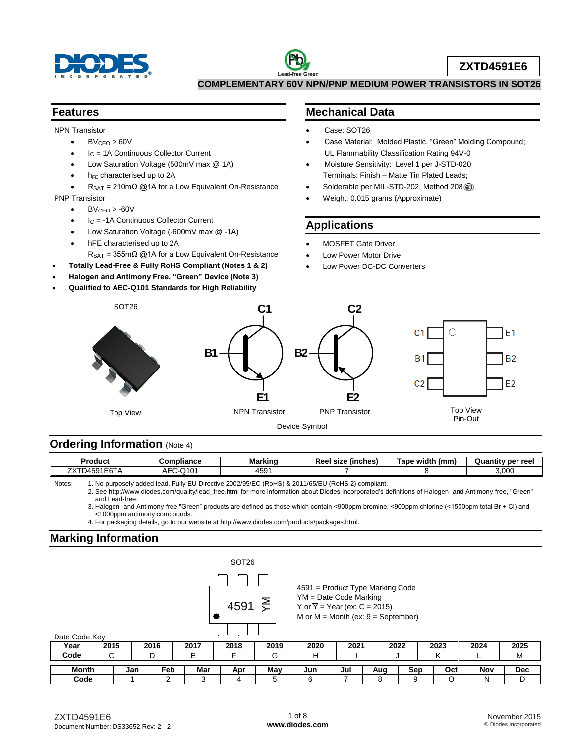



**ZXTD4591E6**

**COMPLEMENTARY 60V NPN/PNP MEDIUM POWER TRANSISTORS IN SOT26**

#### **Features**

NPN Transistor

- $\bullet$  BV<sub>CEO</sub> > 60V
- $I<sub>C</sub>$  = 1A Continuous Collector Current
- Low Saturation Voltage (500mV max @ 1A)
- h<sub>FE</sub> characterised up to 2A
- RSAT = 210mΩ @1A for a Low Equivalent On-Resistance

PNP Transistor

- $\bullet$  BV<sub>CEO</sub>  $>$  -60V
- $I_C$  = -1A Continuous Collector Current
- Low Saturation Voltage (-600mV max @ -1A)
- hFE characterised up to 2A
	- $R_{\text{SAT}} = 355 \text{m}\Omega$  @1A for a Low Equivalent On-Resistance
- **Totally Lead-Free & Fully RoHS Compliant (Notes 1 & 2)**
- **Halogen and Antimony Free. "Green" Device (Note 3)**
- **Qualified to AEC-Q101 Standards for High Reliability**

### **Mechanical Data**

- Case: SOT26
- Case Material: Molded Plastic, "Green" Molding Compound; UL Flammability Classification Rating 94V-0
- Moisture Sensitivity: Level 1 per J-STD-020 Terminals: Finish – Matte Tin Plated Leads;
- Solderable per MIL-STD-202, Method 208  $@3$
- Weight: 0.015 grams (Approximate)

### **Applications**

- MOSFET Gate Driver
- Low Power Motor Drive
- Low Power DC-DC Converters



### **Ordering Information (Note 4)**

| Product                                                      | Compliance                     | Marking               | $-$<br>Ree<br>(inches)<br>size | Tape width<br>(mm) | v per ree<br>Quar |
|--------------------------------------------------------------|--------------------------------|-----------------------|--------------------------------|--------------------|-------------------|
| フヽハ<br>- - -<br>1454<br>$\mathbf{A}$<br>TJJ 1<br><b>01</b> D | $ \sim$<br>11 O.<br>राए<br>ำ∟∪ | $ \sim$<br>450<br>+ບອ |                                |                    | 3,000             |

Notes: 1. No purposely added lead. Fully EU Directive 2002/95/EC (RoHS) & 2011/65/EU (RoHS 2) compliant.

2. See [http://www.diodes.com/quality/lead\\_free.html](http://www.diodes.com/quality/lead_free.html) for more information about Diodes Incorporated's definitions of Halogen- and Antimony-free, "Green" and Lead-free.

3. Halogen- and Antimony-free "Green" products are defined as those which contain <900ppm bromine, <900ppm chlorine (<1500ppm total Br + Cl) and <1000ppm antimony compounds.

4. For packaging details, go to our website at [http://www.diodes.com/products/packages.html.](http://www.diodes.com/products/packages.html)

### **Marking Information**

|               |      |     |      |      | SOT <sub>26</sub> |      |      |                                                                       |                                                 |      |      |      |            |
|---------------|------|-----|------|------|-------------------|------|------|-----------------------------------------------------------------------|-------------------------------------------------|------|------|------|------------|
|               |      |     |      |      |                   |      |      |                                                                       | $4591$ = Product Type Marking Code              |      |      |      |            |
| Date Code Key |      |     |      |      | 4591              | ξ    |      | $YM = Date Code$ Marking<br>Y or $\overline{Y}$ = Year (ex: C = 2015) | M or $\overline{M}$ = Month (ex: 9 = September) |      |      |      |            |
| Year          | 2015 |     | 2016 | 2017 | 2018              | 2019 | 2020 | 2021                                                                  |                                                 | 2022 | 2023 | 2024 | 2025       |
| Code          | С    |     | D    | E    |                   | G    | н    |                                                                       |                                                 |      |      |      | M          |
| Month         |      | Jan | Feb  | Mar  | Apr               | May  | Jun  | Jul                                                                   | Aug                                             | Sep  | Oct  | Nov  | <b>Dec</b> |
| Code          |      |     | ົ    | 3    | 4                 | 5    | 6    |                                                                       | 8                                               | 9    |      | N    | D          |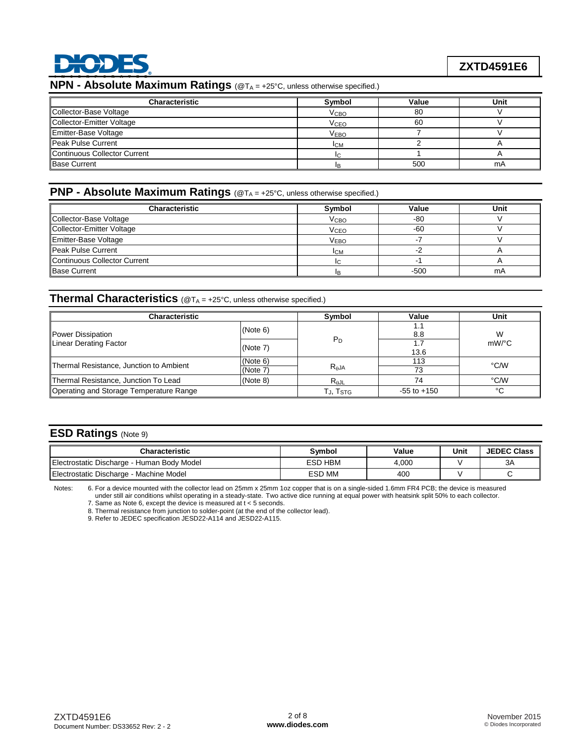

### **NPN - Absolute Maximum Ratings** (@TA = +25°C, unless otherwise specified.)

| <b>Characteristic</b>        | Symbol                 | Value | Unit |
|------------------------------|------------------------|-------|------|
| Collector-Base Voltage       | V <sub>CВО</sub>       | 80    |      |
| Collector-Emitter Voltage    | <b>V<sub>CEO</sub></b> | 60    |      |
| Emitter-Base Voltage         | <b>VEBO</b>            |       |      |
| Peak Pulse Current           | <b>ICM</b>             |       |      |
| Continuous Collector Current |                        |       |      |
| <b>Base Current</b>          | IR                     | 500   | mA   |

### **PNP - Absolute Maximum Ratings** (@T<sub>A</sub> = +25°C, unless otherwise specified.)

| <b>Characteristic</b>        | Symbol           | Value | Unit |
|------------------------------|------------------|-------|------|
| Collector-Base Voltage       | Vсво             | -80   |      |
| Collector-Emitter Voltage    | VCEO             | -60   |      |
| Emitter-Base Voltage         | V <sub>EBO</sub> |       |      |
| Peak Pulse Current           | <b>ICM</b>       |       |      |
| Continuous Collector Current | IC.              |       |      |
| <b>Base Current</b>          | lв.              | -500  | mA   |

#### **Thermal Characteristics** (@T<sub>A</sub> = +25°C, unless otherwise specified.)

| <b>Characteristic</b>                            | Symbol                                               | Value           | Unit        |          |
|--------------------------------------------------|------------------------------------------------------|-----------------|-------------|----------|
| Power Dissipation                                | (Note 6)                                             |                 | 1.1<br>8.8  | W        |
| Linear Derating Factor                           | (Note 7)                                             | $P_D$           | 1.7<br>13.6 | $mW$ /°C |
| Thermal Resistance, Junction to Ambient          | (Note 6)                                             | $R_{\theta$ JA  | 113         | °C/W     |
|                                                  | (Note 7)                                             |                 | 73          |          |
| Thermal Resistance, Junction To Lead<br>(Note 8) |                                                      | $R_{\theta}$ JL | 74          | °C/W     |
| Operating and Storage Temperature Range          | $\mathsf{T}_{\mathsf{J}}, \mathsf{T}_{\mathsf{STG}}$ | $-55$ to $+150$ | °C          |          |

### **ESD Ratings** (Note 9)

| Characteristic                             | Svmbol         | Value | Unit | <b>JEDEC Class</b> |
|--------------------------------------------|----------------|-------|------|--------------------|
| Electrostatic Discharge - Human Body Model | <b>ESD HBM</b> | 4.000 |      | 3A                 |
| Electrostatic Discharge - Machine Model    | ESD MM         | 400   |      |                    |

Notes: 6. For a device mounted with the collector lead on 25mm x 25mm 1oz copper that is on a single-sided 1.6mm FR4 PCB; the device is measured

under still air conditions whilst operating in a steady-state. Two active dice running at equal power with heatsink split 50% to each collector.

7. Same as Note 6, except the device is measured at t < 5 seconds. 8. Thermal resistance from junction to solder-point (at the end of the collector lead).

9. Refer to JEDEC specification JESD22-A114 and JESD22-A115.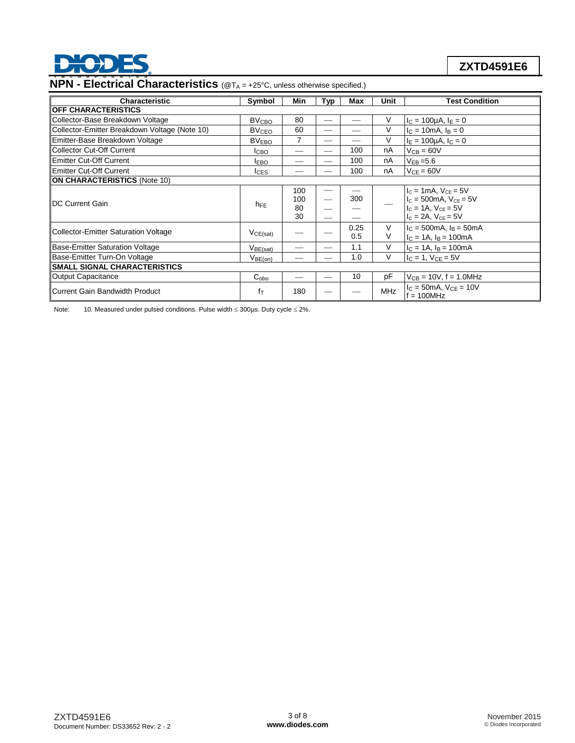

# **ZXTD4591E6**

# **NPN - Electrical Characteristics** (@T<sub>A</sub> = +25°C, unless otherwise specified.)

| <b>Characteristic</b>                         | Symbol                                                  | Min                    | Typ | Max         | Unit       | <b>Test Condition</b>                                                                                                      |
|-----------------------------------------------|---------------------------------------------------------|------------------------|-----|-------------|------------|----------------------------------------------------------------------------------------------------------------------------|
| <b>OFF CHARACTERISTICS</b>                    |                                                         |                        |     |             |            |                                                                                                                            |
| Collector-Base Breakdown Voltage              | <b>BV<sub>CBO</sub></b>                                 | 80                     |     |             | V          | $I_C = 100 \mu A, I_E = 0$                                                                                                 |
| Collector-Emitter Breakdown Voltage (Note 10) | <b>BV<sub>CEO</sub></b>                                 | 60                     |     |             | V          | $I_C = 10 \text{ mA}$ , $I_B = 0$                                                                                          |
| Emitter-Base Breakdown Voltage                | BV <sub>EBO</sub>                                       | 7                      |     |             | V          | $I_F = 100 \mu A$ , $I_C = 0$                                                                                              |
| Collector Cut-Off Current                     | Iсво                                                    |                        | __  | 100         | nA         | $V_{CB} = 60V$                                                                                                             |
| <b>Emitter Cut-Off Current</b>                | <b>IEBO</b>                                             |                        |     | 100         | nA         | $V_{FB} = 5.6$                                                                                                             |
| <b>Emitter Cut-Off Current</b>                | $_{\text{LES}}$                                         |                        |     | 100         | nA         | $V_{CF} = 60V$                                                                                                             |
| <b>ON CHARACTERISTICS (Note 10)</b>           |                                                         |                        |     |             |            |                                                                                                                            |
| <b>IDC Current Gain</b>                       | $h_{FE}$                                                | 100<br>100<br>80<br>30 | —   | 300         |            | $I_c = 1mA$ , $V_{CE} = 5V$<br>$I_c = 500$ mA, $V_{ce} = 5V$<br>$I_{C} = 1A$ , $V_{CF} = 5V$<br>$I_c = 2A$ , $V_{CE} = 5V$ |
| Collector-Emitter Saturation Voltage          | VCE(sat)                                                |                        |     | 0.25<br>0.5 | V<br>V     | $I_C = 500 \text{mA}$ , $I_B = 50 \text{mA}$<br>$I_C = 1A$ , $I_B = 100mA$                                                 |
| Base-Emitter Saturation Voltage               | $V_{B\underline{\mathsf{E}(\underline{\mathsf{sat})}}}$ |                        |     | 1.1         | V          | $I_C = 1A$ , $I_B = 100mA$                                                                                                 |
| Base-Emitter Turn-On Voltage                  | $V_{BE(on)}$                                            |                        |     | 1.0         | V          | $I_C = 1$ , $V_{CE} = 5V$                                                                                                  |
| <b>ISMALL SIGNAL CHARACTERISTICS</b>          |                                                         |                        |     |             |            |                                                                                                                            |
| Output Capacitance                            | $C_{obo}$                                               |                        |     | 10          | pF         | $V_{CB} = 10V$ , f = 1.0MHz                                                                                                |
| Current Gain Bandwidth Product                | $f_T$                                                   | 180                    |     |             | <b>MHz</b> | $I_C = 50mA$ , $V_{CE} = 10V$<br>$f = 100$ MHz                                                                             |

Note: 10. Measured under pulsed conditions. Pulse width  $\leq$  300µs. Duty cycle  $\leq$  2%.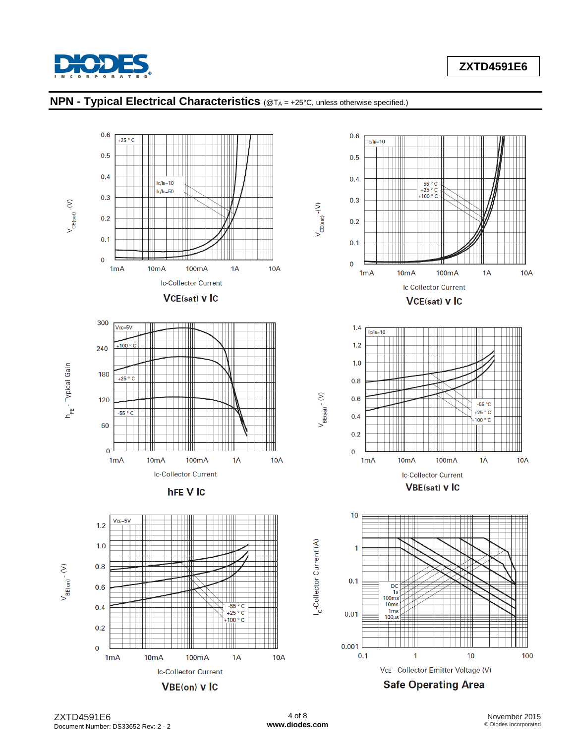

### **ZXTD4591E6**



#### **NPN - Typical Electrical Characteristics** (@TA = +25°C, unless otherwise specified.)

ZXTD4591E6 Document Number: DS33652 Rev: 2 - 2

4 of 8 **[www.diodes.com](http://www.diodes.com)**

November 2015 © Diodes Incorporated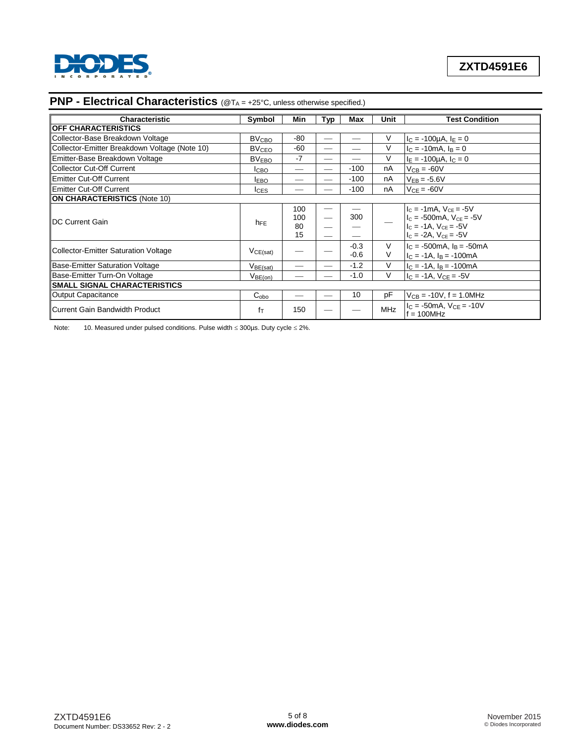

| Characteristic                                | Symbol                  | Min                    | Typ                           | Max              | Unit       | <b>Test Condition</b>                                                                                                    |
|-----------------------------------------------|-------------------------|------------------------|-------------------------------|------------------|------------|--------------------------------------------------------------------------------------------------------------------------|
| <b>OFF CHARACTERISTICS</b>                    |                         |                        |                               |                  |            |                                                                                                                          |
| Collector-Base Breakdown Voltage              | <b>BV<sub>CBO</sub></b> | $-80$                  | —                             |                  | V          | $I_C = -100 \mu A$ , $I_E = 0$                                                                                           |
| Collector-Emitter Breakdown Voltage (Note 10) | <b>BV<sub>CEO</sub></b> | $-60$                  | $\overline{\phantom{0}}$      |                  | V          | $I_C = -10mA$ , $I_B = 0$                                                                                                |
| Emitter-Base Breakdown Voltage                | <b>BVEBO</b>            | -7                     |                               |                  | V          | $I_E = -100 \mu A$ , $I_C = 0$                                                                                           |
| Collector Cut-Off Current                     | <b>I</b> CBO            |                        |                               | $-100$           | nA         | $V_{CB} = -60V$                                                                                                          |
| Emitter Cut-Off Current                       | <b>IEBO</b>             |                        | $\sim$                        | $-100$           | nA         | $V_{EB} = -5.6V$                                                                                                         |
| Emitter Cut-Off Current                       | <b>I</b> CES            |                        |                               | $-100$           | nA         | $V_{CE} = -60V$                                                                                                          |
| <b>ON CHARACTERISTICS (Note 10)</b>           |                         |                        |                               |                  |            |                                                                                                                          |
| <b>IDC Current Gain</b>                       | $h_{FE}$                | 100<br>100<br>80<br>15 | —<br>$\overline{\phantom{0}}$ | 300              |            | $I_c = -1mA$ , $V_{CF} = -5V$<br>$I_c = -500$ mA, $V_{ce} = -5V$<br>$IC = -1A$ , $VCE = -5V$<br>$IC = -2A$ , $VCE = -5V$ |
| Collector-Emitter Saturation Voltage          | VCE(sat)                |                        |                               | $-0.3$<br>$-0.6$ | V<br>V     | $IC = -500mA$ , $IB = -50mA$<br>$I_C = -1A$ , $I_B = -100mA$                                                             |
| Base-Emitter Saturation Voltage               | V <sub>BE(sat)</sub>    |                        |                               | $-1.2$           | V          | $IC = -1A$ , $IB = -100mA$                                                                                               |
| Base-Emitter Turn-On Voltage                  | V <sub>BE(on)</sub>     |                        |                               | $-1.0$           | V          | $IC = -1A$ , $VCE = -5V$                                                                                                 |
| <b>SMALL SIGNAL CHARACTERISTICS</b>           |                         |                        |                               |                  |            |                                                                                                                          |
| Output Capacitance                            | $C_{\rm obo}$           |                        | $\overline{\phantom{0}}$      | 10               | pF         | $V_{CB} = -10V$ , f = 1.0MHz                                                                                             |
| Current Gain Bandwidth Product                | fτ                      | 150                    |                               |                  | <b>MHz</b> | $IC = -50mA$ , $VCF = -10V$<br>$f = 100 MHz$                                                                             |

# **PNP - Electrical Characteristics** (@TA = +25°C, unless otherwise specified.)

Note: 10. Measured under pulsed conditions. Pulse width  $\leq$  300µs. Duty cycle  $\leq$  2%.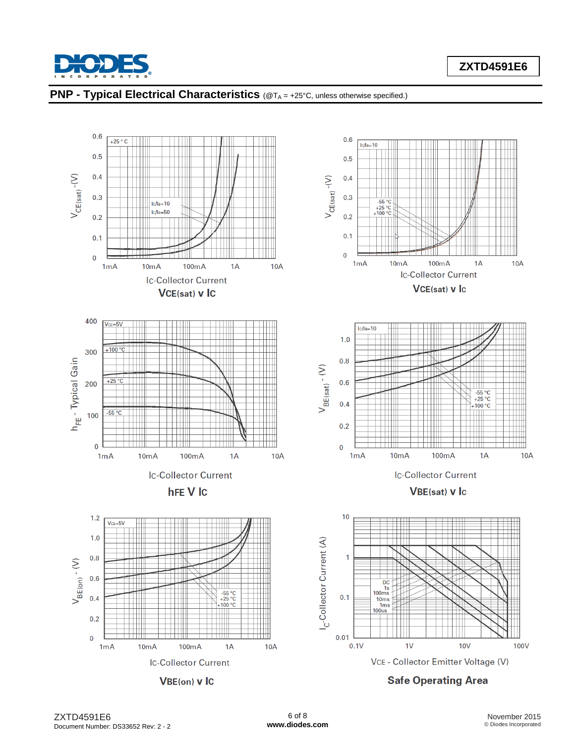



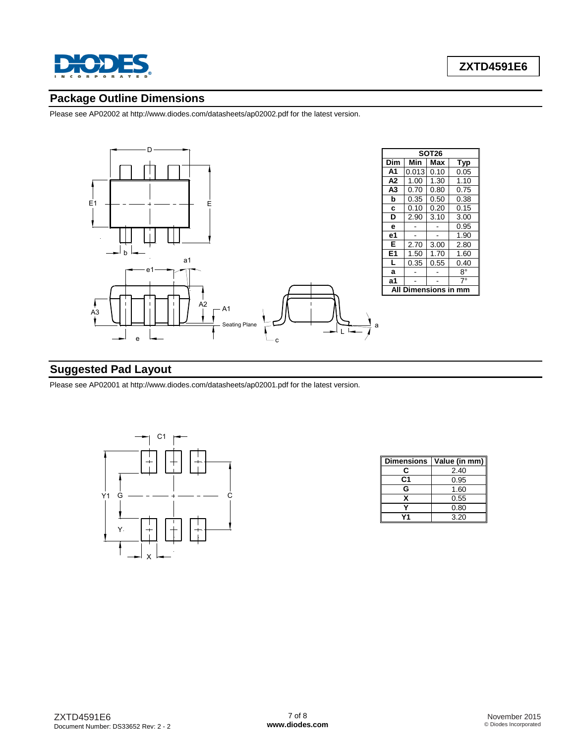

### **Package Outline Dimensions**

Please see AP02002 at [http://www.diodes.com/datasheets/ap02002.pdf fo](http://www.diodes.com/datasheets/ap02002.pdf)r the latest version.



### **Suggested Pad Layout**

Please see AP02001 at [http://www.diodes.com/datasheets/ap02001.pdf fo](http://www.diodes.com/datasheets/ap02001.pdf)r the latest version.



| <b>Dimensions</b> | Value (in mm) |
|-------------------|---------------|
| r.                | 2.40          |
| C1                | 0.95          |
| G                 | 1.60          |
| x                 | 0.55          |
|                   | 0.80          |
|                   | 3.20          |